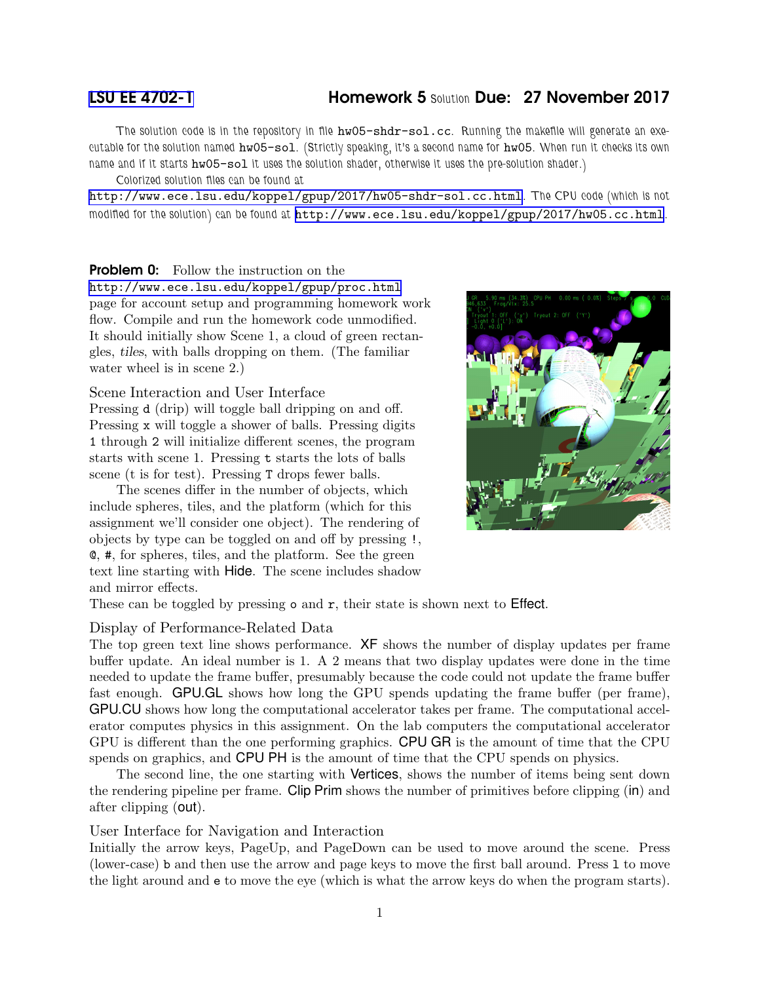# [LSU EE 4702-1](http://www.ece.lsu.edu/koppel/gpup/) Homework 5 Solution Due: 27 November 2017

The solution code is in the repository in file hw05-shdr-sol.cc. Running the makefile will generate an executable for the solution named hw05-sol. (Strictly speaking, it's a second name for hw05. When run it checks its own name and if it starts hw05-sol it uses the solution shader, otherwise it uses the pre-solution shader.)

Colorized solution files can be found at

<http://www.ece.lsu.edu/koppel/gpup/2017/hw05-shdr-sol.cc.html>. The CPU code (which is not modified for the solution) can be found at <http://www.ece.lsu.edu/koppel/gpup/2017/hw05.cc.html>.

## **Problem 0:** Follow the instruction on the

<http://www.ece.lsu.edu/koppel/gpup/proc.html> page for account setup and programming homework work flow. Compile and run the homework code unmodified. It should initially show Scene 1, a cloud of green rectangles, tiles, with balls dropping on them. (The familiar water wheel is in scene 2.)

Scene Interaction and User Interface

Pressing d (drip) will toggle ball dripping on and off. Pressing x will toggle a shower of balls. Pressing digits 1 through 2 will initialize different scenes, the program starts with scene 1. Pressing t starts the lots of balls scene (t is for test). Pressing T drops fewer balls.

The scenes differ in the number of objects, which include spheres, tiles, and the platform (which for this assignment we'll consider one object). The rendering of objects by type can be toggled on and off by pressing !, @, #, for spheres, tiles, and the platform. See the green text line starting with Hide. The scene includes shadow and mirror effects.



These can be toggled by pressing o and r, their state is shown next to Effect.

#### Display of Performance-Related Data

The top green text line shows performance. XF shows the number of display updates per frame buffer update. An ideal number is 1. A 2 means that two display updates were done in the time needed to update the frame buffer, presumably because the code could not update the frame buffer fast enough. GPU.GL shows how long the GPU spends updating the frame buffer (per frame), GPU.CU shows how long the computational accelerator takes per frame. The computational accelerator computes physics in this assignment. On the lab computers the computational accelerator GPU is different than the one performing graphics. CPU GR is the amount of time that the CPU spends on graphics, and CPU PH is the amount of time that the CPU spends on physics.

The second line, the one starting with Vertices, shows the number of items being sent down the rendering pipeline per frame. Clip Prim shows the number of primitives before clipping (in) and after clipping (out).

User Interface for Navigation and Interaction

Initially the arrow keys, PageUp, and PageDown can be used to move around the scene. Press (lower-case) b and then use the arrow and page keys to move the first ball around. Press l to move the light around and e to move the eye (which is what the arrow keys do when the program starts).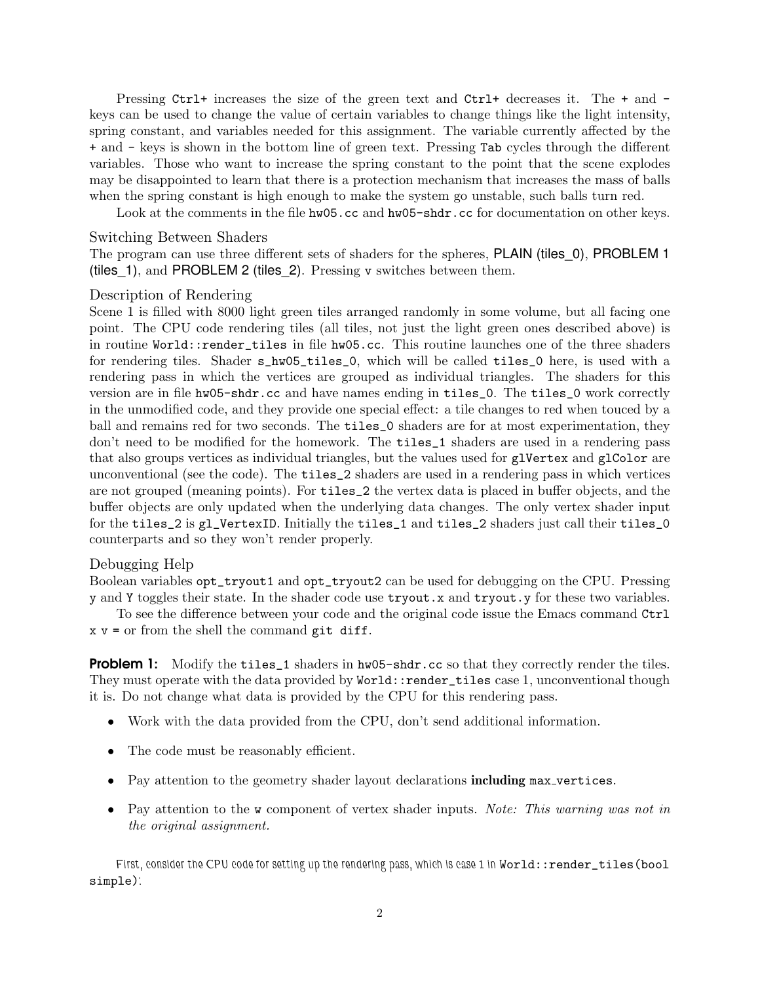Pressing Ctrl+ increases the size of the green text and Ctrl+ decreases it. The + and keys can be used to change the value of certain variables to change things like the light intensity, spring constant, and variables needed for this assignment. The variable currently affected by the + and - keys is shown in the bottom line of green text. Pressing Tab cycles through the different variables. Those who want to increase the spring constant to the point that the scene explodes may be disappointed to learn that there is a protection mechanism that increases the mass of balls when the spring constant is high enough to make the system go unstable, such balls turn red.

Look at the comments in the file hw05.cc and hw05-shdr.cc for documentation on other keys.

#### Switching Between Shaders

The program can use three different sets of shaders for the spheres, PLAIN (tiles\_0), PROBLEM 1 (tiles\_1), and PROBLEM 2 (tiles\_2). Pressing v switches between them.

### Description of Rendering

Scene 1 is filled with 8000 light green tiles arranged randomly in some volume, but all facing one point. The CPU code rendering tiles (all tiles, not just the light green ones described above) is in routine World::render\_tiles in file hw05.cc. This routine launches one of the three shaders for rendering tiles. Shader s\_hw05\_tiles\_0, which will be called tiles\_0 here, is used with a rendering pass in which the vertices are grouped as individual triangles. The shaders for this version are in file hw05-shdr.cc and have names ending in tiles\_0. The tiles\_0 work correctly in the unmodified code, and they provide one special effect: a tile changes to red when touced by a ball and remains red for two seconds. The tiles\_0 shaders are for at most experimentation, they don't need to be modified for the homework. The tiles\_1 shaders are used in a rendering pass that also groups vertices as individual triangles, but the values used for glVertex and glColor are unconventional (see the code). The tiles\_2 shaders are used in a rendering pass in which vertices are not grouped (meaning points). For tiles\_2 the vertex data is placed in buffer objects, and the buffer objects are only updated when the underlying data changes. The only vertex shader input for the tiles\_2 is gl\_VertexID. Initially the tiles\_1 and tiles\_2 shaders just call their tiles\_0 counterparts and so they won't render properly.

# Debugging Help

Boolean variables opt\_tryout1 and opt\_tryout2 can be used for debugging on the CPU. Pressing y and Y toggles their state. In the shader code use tryout.x and tryout.y for these two variables.

To see the difference between your code and the original code issue the Emacs command Ctrl  $x \vee y =$  or from the shell the command git diff.

**Problem 1:** Modify the tiles 1 shaders in hw05-shdr.cc so that they correctly render the tiles. They must operate with the data provided by World::render\_tiles case 1, unconventional though it is. Do not change what data is provided by the CPU for this rendering pass.

- Work with the data provided from the CPU, don't send additional information.
- The code must be reasonably efficient.
- Pay attention to the geometry shader layout declarations including max vertices.
- Pay attention to the w component of vertex shader inputs. *Note: This warning was not in the original assignment.*

First, consider the CPU code for setting up the rendering pass, which is case 1 in World::render\_tiles(bool simple):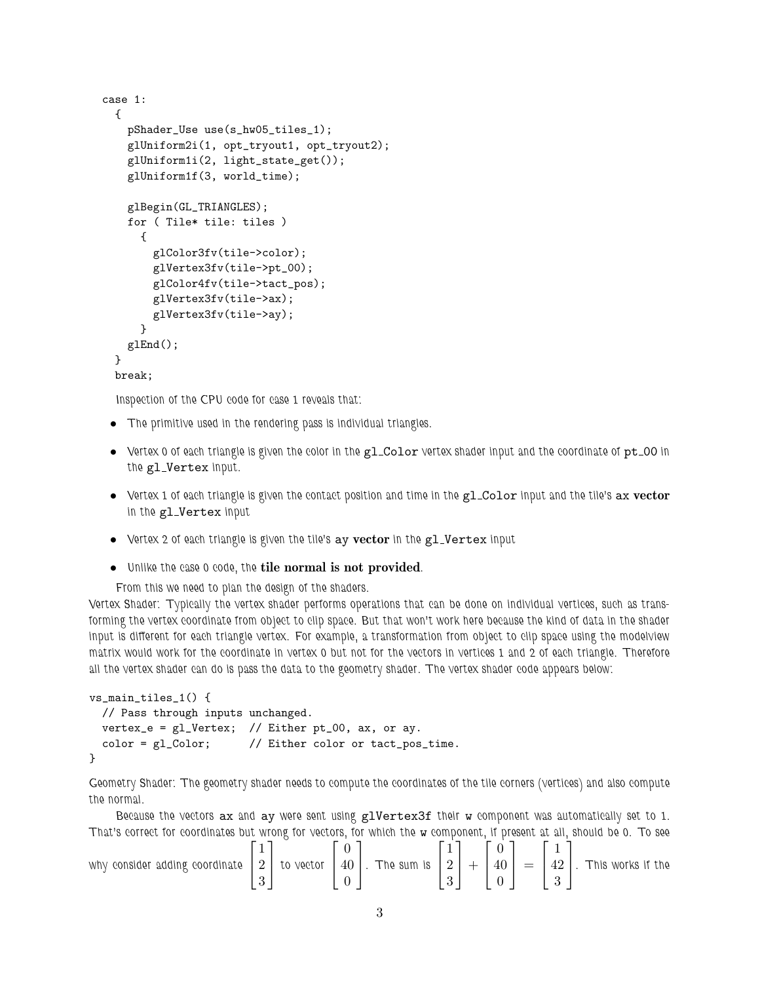```
case 1:
  {
    pShader_Use use(s_hw05_tiles_1);
    glUniform2i(1, opt_tryout1, opt_tryout2);
    glUniform1i(2, light_state_get());
    glUniform1f(3, world_time);
    glBegin(GL_TRIANGLES);
    for ( Tile* tile: tiles )
      {
        glColor3fv(tile->color);
        glVertex3fv(tile->pt_00);
        glColor4fv(tile->tact_pos);
        glVertex3fv(tile->ax);
        glVertex3fv(tile->ay);
      }
    glEnd();
 }
 break;
```
Inspection of the CPU code for case 1 reveals that:

- The primitive used in the rendering pass is individual triangles.
- Vertex 0 of each triangle is given the color in the gl\_Color vertex shader input and the coordinate of pt\_00 in the gl\_Vertex input.
- $\bullet$  Vertex 1 of each triangle is given the contact position and time in the  $\texttt{gl\_Color}$  input and the tile's  $\texttt{ax vector}$ in the gl Vertex input
- Vertex 2 of each triangle is given the tile's ay vector in the gl\_Vertex input
- Unlike the case 0 code, the tile normal is not provided.

From this we need to plan the design of the shaders.

Vertex Shader: Typically the vertex shader performs operations that can be done on individual vertices, such as transforming the vertex coordinate from object to clip space. But that won't work here because the kind of data in the shader input is different for each triangle vertex. For example, a transformation from object to clip space using the modelview matrix would work for the coordinate in vertex 0 but not for the vectors in vertices 1 and 2 of each triangle. Therefore all the vertex shader can do is pass the data to the geometry shader. The vertex shader code appears below:

```
vs_main_tiles_1() {
 // Pass through inputs unchanged.
 vertex_e = g1_Vertex; // Either pt_00, ax, or ay.color = gl_Color; // Either color or tact_pos_time.
}
```
Geometry Shader: The geometry shader needs to compute the coordinates of the tile corners (vertices) and also compute the normal.

Because the vectors ax and ay were sent using glVertex3f their w component was automatically set to 1. That's correct for coordinates but wrong for vectors, for which the w component, if present at all, should be 0. To see

| why consider adding coordinate $\mid 2 \mid$ to vector |  |  |  | $\vert$ 40 $\vert$ . The sum is $\vert$ 2 $\vert$ + $\vert$ |  |  | $\binom{1}{40}$<br>$\overline{0}$ |  |  | $=$ $\vert$ 42 $\vert$ . This works if the |
|--------------------------------------------------------|--|--|--|-------------------------------------------------------------|--|--|-----------------------------------|--|--|--------------------------------------------|
|--------------------------------------------------------|--|--|--|-------------------------------------------------------------|--|--|-----------------------------------|--|--|--------------------------------------------|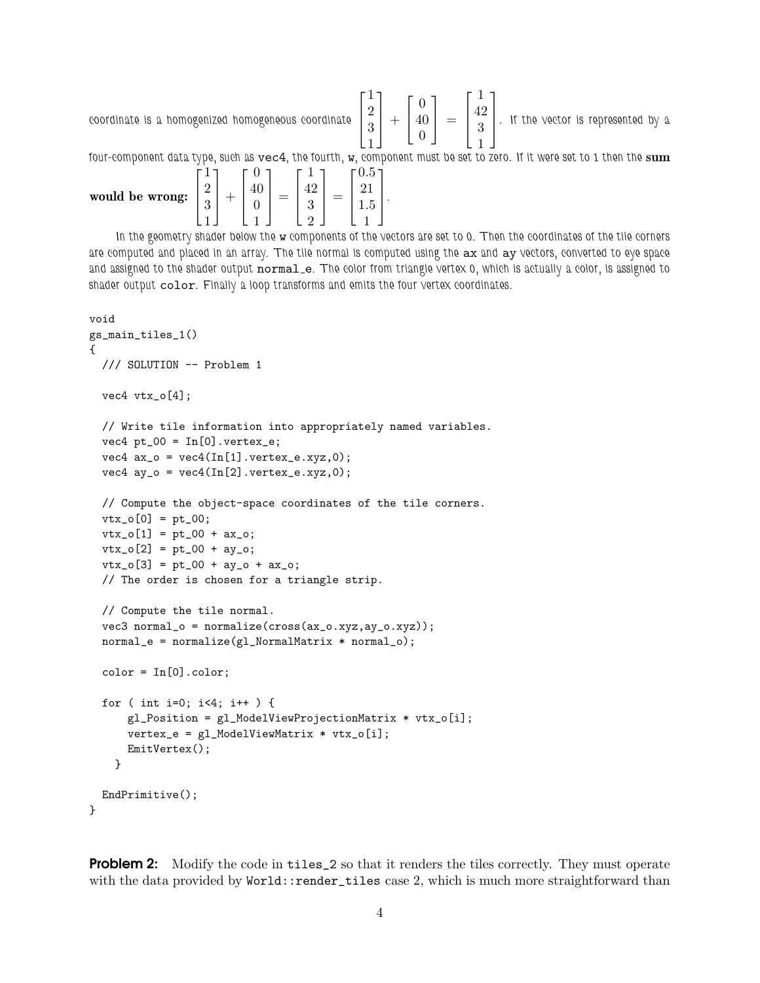coordinate is a homogenized homogeneous coordinate  $\sqrt{ }$  $\vert$ 1 2 3 1 1  $| +$  $\lceil$  $\overline{1}$ 0 40 0 1  $\vert$  =  $\lceil$  $\vert$ 1 42 3 1 1  $\vert$ . If the vector is represented by a

four-component data type, such as  $vec4$ , the fourth, w, component must be set to zero. If it were set to 1 then the sum

| would be wrong: | v<br>∩<br>$\Omega$<br>ಀ | ы | റ |  | ٠ |
|-----------------|-------------------------|---|---|--|---|
|-----------------|-------------------------|---|---|--|---|

In the geometry shader below the w components of the vectors are set to 0. Then the coordinates of the tile corners are computed and placed in an array. The tile normal is computed using the ax and ay vectors, converted to eye space and assigned to the shader output normal\_e. The color from triangle vertex 0, which is actually a color, is assigned to shader output color. Finally a loop transforms and emits the four vertex coordinates.

```
void
gs_main_tiles_1()
{
 /// SOLUTION -- Problem 1
 vec4 vtx_o[4];
  // Write tile information into appropriately named variables.
  vec4 pt_00 = In[0].vertex_e;vec4 ax_0 = vec4(In[1].vertex_e.xyz, 0);vec4 ay_o = vec4(\text{In}[2].vertex_e.xyz,0);// Compute the object-space coordinates of the tile corners.
  vtx_0[0] = pt_0;vtx_o[1] = pt_00 + ax_o;vtx_0[2] = pt_00 + ay_0;vtx_0[3] = pt_00 + ay_0 + ax_0;// The order is chosen for a triangle strip.
  // Compute the tile normal.
  vec3 normal_o = normalize(cross(ax_o.xyz,ay_o.xyz));
  normal_e = normalize(g1_NormalMatrix * normal_o);color = In[0].color;for ( int i=0; i<4; i++ ) {
     gl_Position = gl_ModelViewProjectionMatrix * vtx_o[i];
      vertex_e = g1_Mode1ViewMatrix * vtx_o[i];EmitVertex();
    }
 EndPrimitive();
}
```
**Problem 2:** Modify the code in tiles\_2 so that it renders the tiles correctly. They must operate with the data provided by World::render\_tiles case 2, which is much more straightforward than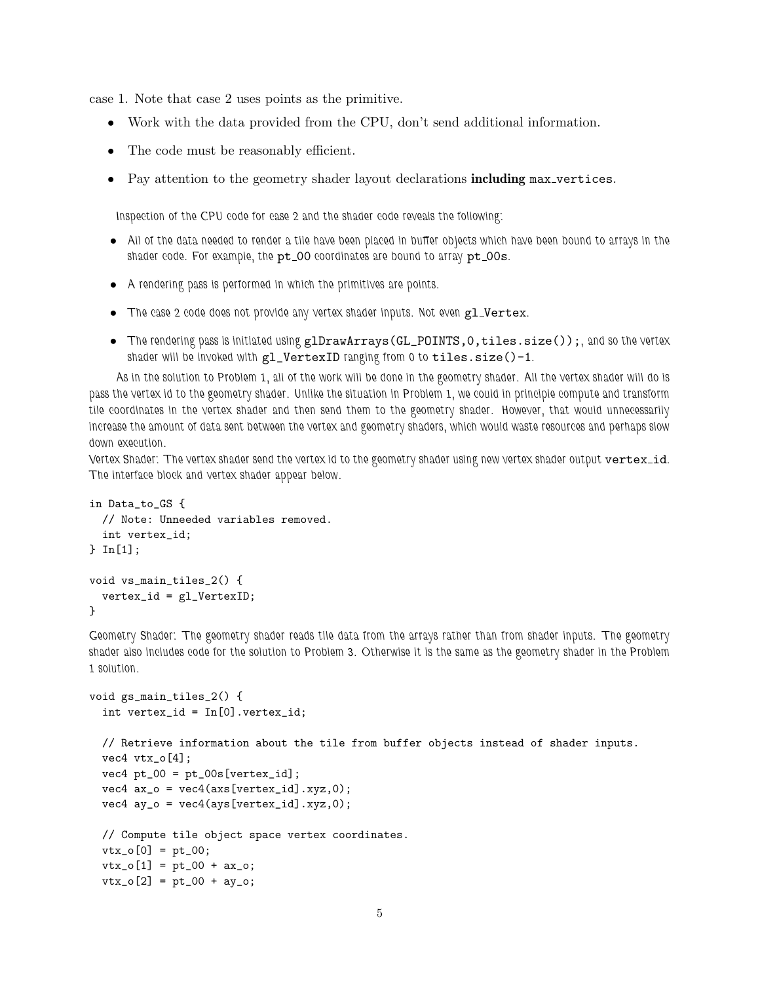case 1. Note that case 2 uses points as the primitive.

- Work with the data provided from the CPU, don't send additional information.
- The code must be reasonably efficient.
- Pay attention to the geometry shader layout declarations including max vertices.

Inspection of the CPU code for case 2 and the shader code reveals the following:

- All of the data needed to render a tile have been placed in buffer objects which have been bound to arrays in the shader code. For example, the pt\_00 coordinates are bound to array pt\_00s.
- A rendering pass is performed in which the primitives are points.
- The case 2 code does not provide any vertex shader inputs. Not even gl\_Vertex.
- The rendering pass is initiated using glDrawArrays(GL\_POINTS, 0, tiles.size());, and so the vertex shader will be invoked with gl\_VertexID ranging from 0 to tiles.size()-1.

As in the solution to Problem 1, all of the work will be done in the geometry shader. All the vertex shader will do is pass the vertex id to the geometry shader. Unlike the situation in Problem 1, we could in principle compute and transform tile coordinates in the vertex shader and then send them to the geometry shader. However, that would unnecessarily increase the amount of data sent between the vertex and geometry shaders, which would waste resources and perhaps slow down execution.

Vertex Shader: The vertex shader send the vertex id to the geometry shader using new vertex shader output vertex\_id. The interface block and vertex shader appear below.

```
in Data_to_GS {
 // Note: Unneeded variables removed.
 int vertex_id;
} In[1];
void vs_main_tiles_2() {
  vertex_id = gl_VertexID;
}
```
Geometry Shader: The geometry shader reads tile data from the arrays rather than from shader inputs. The geometry shader also includes code for the solution to Problem 3. Otherwise it is the same as the geometry shader in the Problem 1 solution.

```
void gs_main_tiles_2() {
  int vertex_id = In[0].vertex_id;
 // Retrieve information about the tile from buffer objects instead of shader inputs.
  vec4 vtx_o[4];
  vec4 pt_00 = pt_00s[vertex_id];vec4 ax_0 = vec4 (axs[vertex_id].xyz,0);vec4 ay_o = vec4(ays[vertex_id].xyz,0);
  // Compute tile object space vertex coordinates.
  vtx_0[0] = pt_00;vtx_o[1] = pt_00 + ax_o;vtx_0[2] = pt_00 + ay_0;
```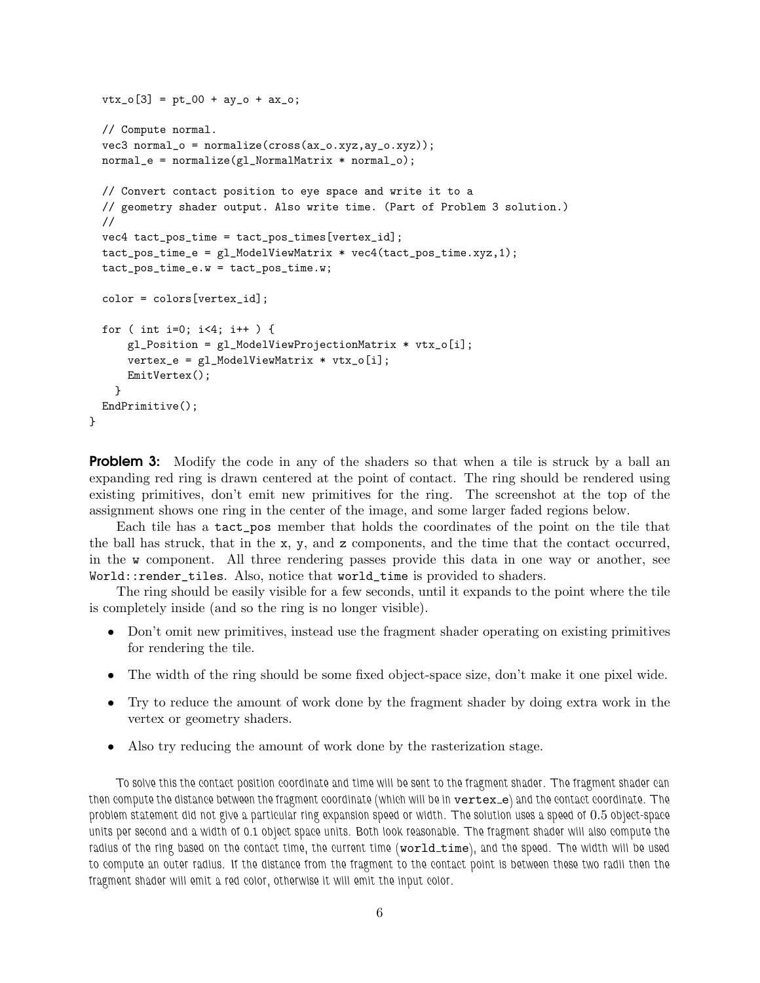```
vtx_o[3] = pt_0 + ay_o + ax_o;// Compute normal.
vec3 normal_o = normalize(cross(ax_0.xyz,ay_0.xyz));
normal_e = normalize(g1_NormalMatrix * normal_o);// Convert contact position to eye space and write it to a
// geometry shader output. Also write time. (Part of Problem 3 solution.)
//
vec4 tact_pos_time = tact_pos_times[vertex_id];
tact_pos_time_e = gl_ModelViewMatrix * vec4(tact_pos_time.xyz,1);
tact_pos_time_e.w = tact_pos_time.w;
color = colors[vertex_id];
for ( int i=0; i<4; i++ ) {
    gl_Position = gl_ModelViewProjectionMatrix * vtx_o[i];
    vertex_e = gl_ModelViewMatrix * vtx_o[i];
   EmitVertex();
  }
EndPrimitive();
```
}

**Problem 3:** Modify the code in any of the shaders so that when a tile is struck by a ball an expanding red ring is drawn centered at the point of contact. The ring should be rendered using existing primitives, don't emit new primitives for the ring. The screenshot at the top of the assignment shows one ring in the center of the image, and some larger faded regions below.

Each tile has a tact\_pos member that holds the coordinates of the point on the tile that the ball has struck, that in the x, y, and z components, and the time that the contact occurred, in the w component. All three rendering passes provide this data in one way or another, see World::render\_tiles. Also, notice that world\_time is provided to shaders.

The ring should be easily visible for a few seconds, until it expands to the point where the tile is completely inside (and so the ring is no longer visible).

- Don't omit new primitives, instead use the fragment shader operating on existing primitives for rendering the tile.
- The width of the ring should be some fixed object-space size, don't make it one pixel wide.
- Try to reduce the amount of work done by the fragment shader by doing extra work in the vertex or geometry shaders.
- Also try reducing the amount of work done by the rasterization stage.

To solve this the contact position coordinate and time will be sent to the fragment shader. The fragment shader can then compute the distance between the fragment coordinate (which will be in vertex\_e) and the contact coordinate. The problem statement did not give a particular ring expansion speed or width. The solution uses a speed of 0.5 object-space units per second and a width of 0.1 object space units. Both look reasonable. The fragment shader will also compute the radius of the ring based on the contact time, the current time (world\_time), and the speed. The width will be used to compute an outer radius. If the distance from the fragment to the contact point is between these two radii then the fragment shader will emit a red color, otherwise it will emit the input color.